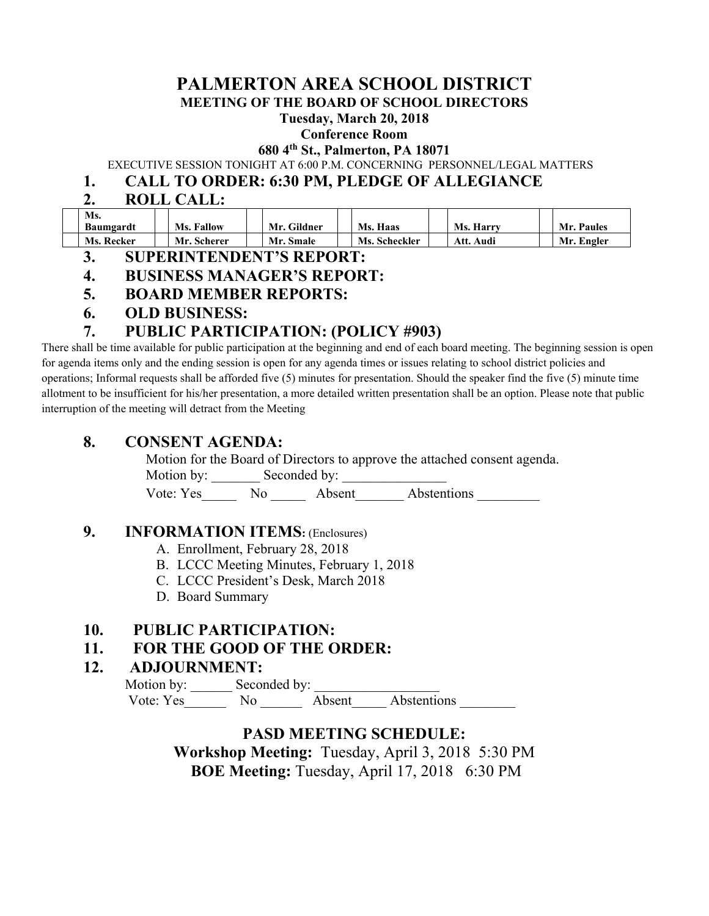## **PALMERTON AREA SCHOOL DISTRICT**

**MEETING OF THE BOARD OF SCHOOL DIRECTORS** 

**Tuesday, March 20, 2018** 

#### **Conference Room**

**680 4th St., Palmerton, PA 18071** 

EXECUTIVE SESSION TONIGHT AT 6:00 P.M. CONCERNING PERSONNEL/LEGAL MATTERS

#### **1. CALL TO ORDER: 6:30 PM, PLEDGE OF ALLEGIANCE**

### **2. ROLL CALL:**

| Ms.        |                   |             |               |                  |            |
|------------|-------------------|-------------|---------------|------------------|------------|
| Baumgardt  | <b>Ms. Fallow</b> | Mr. Gildner | Ms. Haas      | <b>Ms. Harry</b> | Mr. Paules |
| Ms. Recker | Mr. Scherer       | Mr. Smale   | Ms. Scheckler | Att.<br>Audi     | Mr. Engler |

- **3. SUPERINTENDENT'S REPORT:**
- **4. BUSINESS MANAGER'S REPORT:**
- **5. BOARD MEMBER REPORTS:**
- **6. OLD BUSINESS:**

## **7. PUBLIC PARTICIPATION: (POLICY #903)**

There shall be time available for public participation at the beginning and end of each board meeting. The beginning session is open for agenda items only and the ending session is open for any agenda times or issues relating to school district policies and operations; Informal requests shall be afforded five (5) minutes for presentation. Should the speaker find the five (5) minute time allotment to be insufficient for his/her presentation, a more detailed written presentation shall be an option. Please note that public interruption of the meeting will detract from the Meeting

#### **8. CONSENT AGENDA:**

Motion for the Board of Directors to approve the attached consent agenda.

Motion by: Seconded by:

Vote: Yes\_\_\_\_\_ No \_\_\_\_\_ Absent\_\_\_\_\_\_\_ Abstentions \_\_\_\_\_\_\_\_\_

#### **9. INFORMATION ITEMS:** (Enclosures)

- A. Enrollment, February 28, 2018
- B. LCCC Meeting Minutes, February 1, 2018
- C. LCCC President's Desk, March 2018
- D. Board Summary

#### **10. PUBLIC PARTICIPATION:**

#### **11. FOR THE GOOD OF THE ORDER:**

#### **12. ADJOURNMENT:**

Motion by: Seconded by: Vote: Yes\_\_\_\_\_\_\_\_ No \_\_\_\_\_\_\_\_ Absent Abstentions

## **PASD MEETING SCHEDULE:**

**Workshop Meeting:** Tuesday, April 3, 2018 5:30 PM  **BOE Meeting:** Tuesday, April 17, 20186:30 PM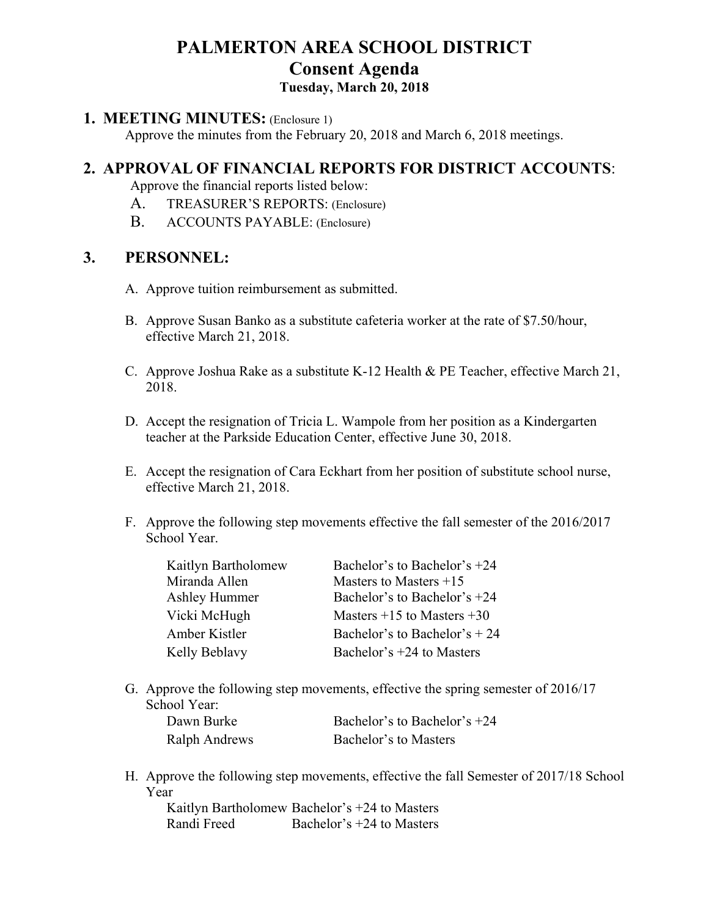# **PALMERTON AREA SCHOOL DISTRICT Consent Agenda**

## **Tuesday, March 20, 2018**

#### **1. MEETING MINUTES:** (Enclosure 1)

Approve the minutes from the February 20, 2018 and March 6, 2018 meetings.

## **2. APPROVAL OF FINANCIAL REPORTS FOR DISTRICT ACCOUNTS**:

Approve the financial reports listed below:

- A. TREASURER'S REPORTS: (Enclosure)
- B. ACCOUNTS PAYABLE: (Enclosure)

## **3. PERSONNEL:**

- A. Approve tuition reimbursement as submitted.
- B. Approve Susan Banko as a substitute cafeteria worker at the rate of \$7.50/hour, effective March 21, 2018.
- C. Approve Joshua Rake as a substitute K-12 Health & PE Teacher, effective March 21, 2018.
- D. Accept the resignation of Tricia L. Wampole from her position as a Kindergarten teacher at the Parkside Education Center, effective June 30, 2018.
- E. Accept the resignation of Cara Eckhart from her position of substitute school nurse, effective March 21, 2018.
- F. Approve the following step movements effective the fall semester of the 2016/2017 School Year.

| Kaitlyn Bartholomew  | Bachelor's to Bachelor's +24   |
|----------------------|--------------------------------|
| Miranda Allen        | Masters to Masters $+15$       |
| <b>Ashley Hummer</b> | Bachelor's to Bachelor's $+24$ |
| Vicki McHugh         | Masters $+15$ to Masters $+30$ |
| Amber Kistler        | Bachelor's to Bachelor's $+24$ |
| Kelly Beblavy        | Bachelor's $+24$ to Masters    |

- G. Approve the following step movements, effective the spring semester of 2016/17 School Year: Dawn Burke Bachelor's to Bachelor's +24 Ralph Andrews Bachelor's to Masters
- H. Approve the following step movements, effective the fall Semester of 2017/18 School Year

Kaitlyn Bartholomew Bachelor's +24 to Masters Randi Freed Bachelor's +24 to Masters